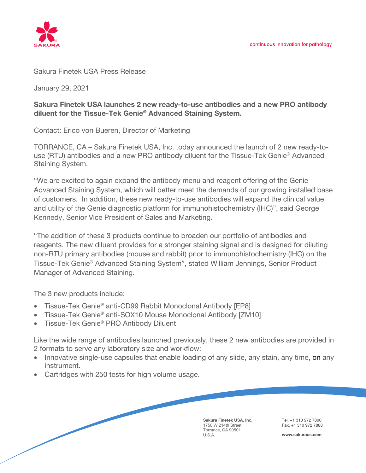

## Sakura Finetek USA Press Release

January 29, 2021

## **Sakura Finetek USA launches 2 new ready-to-use antibodies and a new PRO antibody diluent for the Tissue-Tek Genie® Advanced Staining System.**

Contact: Erico von Bueren, Director of Marketing

TORRANCE, CA – Sakura Finetek USA, Inc. today announced the launch of 2 new ready-touse (RTU) antibodies and a new PRO antibody diluent for the Tissue-Tek Genie® Advanced Staining System.

"We are excited to again expand the antibody menu and reagent offering of the Genie Advanced Staining System, which will better meet the demands of our growing installed base of customers. In addition, these new ready-to-use antibodies will expand the clinical value and utility of the Genie diagnostic platform for immunohistochemistry (IHC)", said George Kennedy, Senior Vice President of Sales and Marketing.

"The addition of these 3 products continue to broaden our portfolio of antibodies and reagents. The new diluent provides for a stronger staining signal and is designed for diluting non-RTU primary antibodies (mouse and rabbit) prior to immunohistochemistry (IHC) on the Tissue-Tek Genie® Advanced Staining System", stated William Jennings, Senior Product Manager of Advanced Staining.

The 3 new products include:

- Tissue-Tek Genie<sup>®</sup> anti-CD99 Rabbit Monoclonal Antibody [EP8]
- Tissue-Tek Genie® anti-SOX10 Mouse Monoclonal Antibody [ZM10]
- Tissue-Tek Genie® PRO Antibody Diluent

Like the wide range of antibodies launched previously, these 2 new antibodies are provided in 2 formats to serve any laboratory size and workflow:

- Innovative single-use capsules that enable loading of any slide, any stain, any time, on any instrument.
- Cartridges with 250 tests for high volume usage.

**Sakura Finetek USA, Inc.** 1750 W 214th Street Torrance, CA 90501 U.S.A.

Tel. +1 310 972 7800 Fax. +1 310 972 7888

**www.sakuraus.com**